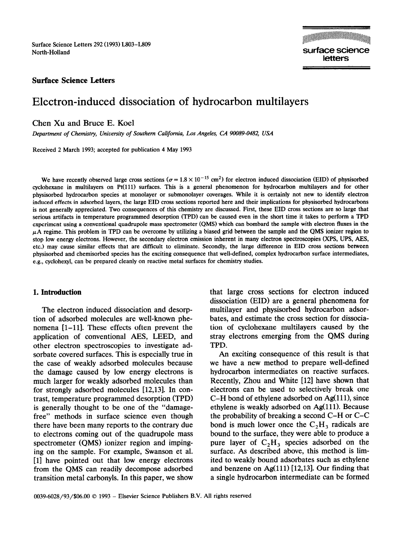Surface Science Letters 292 (1993) LSO3-I809 North-Holland

surface science letters

# **Surface Science Letters**

# Electron-induced dissociation of hydrocarbon multilayers

# **Chen Xu** and Bruce E. Keel

*Department of Chemistry, University of Southern California, Los Angeles, CA 90089-0482, USA* 

Received 2 March 1993; accepted for publication 4 May 1993

We have recently observed large cross sections ( $\sigma = 1.8 \times 10^{-15}$  cm<sup>2</sup>) for electron induced dissociation (EID) of physisorbed cyclohexane in multilayers on Pt(lll) surfaces. This is a general phenomenon for hydrocarbon multilayers and for other physisorbed hydrocarbon species at monolayer or submonolayer coverages. While it is certainly not new to identify electron induced effects in adsorbed layers, the large EID cross sections reported here and their implications for physisorbed hydrocarbons is not generally appreciated. Two consequences of this chemistry are discussed. First, these EID cross sections are so large that serious artifacts in temperature programmed desorption (TPD) can be caused even in the short time it takes to perform a TPD experiment using a conventional quadrupole mass spectrometer (QMS) which can bombard the sample with electron fluxes in the  $\mu$ A regime. This problem in TPD can be overcome by utilizing a biased grid between the sample and the QMS ionizer region to stop low energy electrons. However, the secondary electron emission inherent in many electron spectroscopies (XPS, UPS, AES, etc.) may cause similar effects that are difficult to eliminate. Secondly, the large difference in EID cross sections between physisorbed and chemisorbed species has the exciting consequence that well-defined, complex hydrocarbon surface intermediates, e.g., cyclohexyl, can be prepared cleanly on reactive metal surfaces for chemistry studies.

# 1. **Introduction**

The electron induced dissociation and desorption of adsorbed molecules are well-known phenomena [l-11]. These effects often prevent the application of conventional AES, LEED, and other electron spectroscopies to investigate adsorbate covered surfaces. This is especially true in the case of weakly adsorbed molecules because the damage caused by low energy electrons is much larger for weakly adsorbed molecules than for strongly adsorbed molecules [12,13]. In contrast, temperature programmed desorption (TPD) is generally thought to be one of the "damagefree" methods in surface science even though there have been many reports to the contrary due to electrons coming out of the quadrupole mass spectrometer (QMS) ionizer region and impinging on the sample. For example, Swanson et al. [l] have pointed out that low energy electrons from the QMS can readily decompose adsorbed transition metal carbonyls. In this paper, we show that large cross sections for electron induced dissociation (EID) are a general phenomena for multilayer and physisorbed hydrocarbon adsorbates, and estimate the cross section for dissociation of cyclohexane multilayers caused by the stray electrons emerging from the QMS during TPD.

An exciting consequence of this result is that we have a new method to prepare well-defined hydrocarbon intermediates on reactive surfaces. Recently, Zhou and White [I21 have shown that electrons can be used to selectively break one  $C-H$  bond of ethylene adsorbed on  $Ag(111)$ , since ethylene is weakly adsorbed on  $Ag(111)$ . Because the probability of breaking a second C-H or C-C bond is much lower once the  $C_2H_3$  radicals are bound to the surface, they were able to produce a pure layer of  $C_2H_3$  species adsorbed on the surface. As described above, this method is limited to weakly bound adsorbates such as ethylene and benzene on  $Ag(111)$  [12,13]. Our finding that a single hydrocarbon intermediate can be formed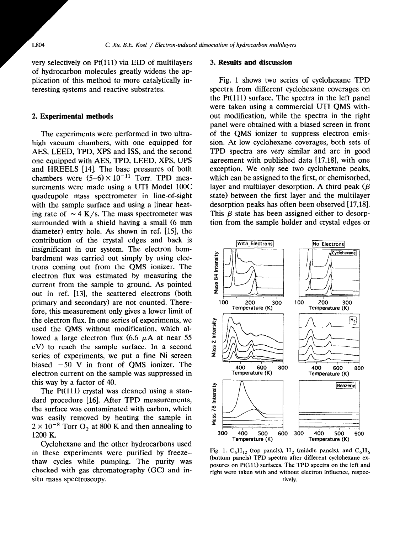very selectively on  $Pt(111)$  via EID of multilayers  $\qquad$  **3. Results and discussion** of hydrocarbon molecules greatly widens the application of this method to more catalytically interesting systems and reactive substrates.

#### 2. **Experimental methods**

The experiments were performed in two ultrahigh vacuum chambers, with one equipped for AES, LEED, TPD, XPS and ISS, and the second one equipped with AES, TPD, LEED, XPS, UPS and HREELS [14]. The base pressures of both chambers were  $(5-6) \times 10^{-11}$  Torr. TPD measurements were made using a UTI Model 100C quadrupole mass spectrometer in line-of-sight with the sample surface and using a linear heating rate of  $\sim$  4 K/s. The mass spectrometer was surrounded with a shield having a small (6 mm diameter) entry hole. As shown in ref.  $[15]$ , the contribution of the crystal edges and back is insignificant in our system. The electron bombardment was carried out simply by using electrons coming out from the QMS ionizer. The electron flux was estimated by measuring the current from the sample to ground. As pointed out in ref. [13], the scattered electrons (both primary and secondary) are not counted. Therefore, this measurement only gives a lower limit of the electron flux. In one series of experiments, we used the QMS without modification, which allowed a large electron flux  $(6.6 \mu A)$  at near 55 eV) to reach the sample surface. In a second series of experiments, we put a fine Ni screen biased  $-50$  V in front of OMS ionizer. The electron current on the sample was suppressed in this way by a factor of 40.

The  $Pt(111)$  crystal was cleaned using a standard procedure [16]. After TPD measurements, the surface was contaminated with carbon, which was easily removed by heating the sample in  $2 \times 10^{-8}$  Torr O<sub>2</sub> at 800 K and then annealing to 1200 K.

Cyclohexane and the other hydrocarbons used in these experiments were purified by freezethaw cycles while pumping. The purity was checked with gas chromatography  $(GC)$  and insitu mass spectroscopy.

Fig. 1 shows two series of cyclohexane TPD spectra from different cyclohexane coverages on the  $Pt(111)$  surface. The spectra in the left panel were taken using a commercial UT1 QMS without modification, while the spectra in the right panel were obtained with a biased screen in front of the QMS ionizer to suppress electron emission. At low cyclohexane coverages, both sets of TPD spectra are very similar and are in good agreement with published data [17,18], with one exception. We only see two cyclohexane peaks, which can be assigned to the first, or chemisorbed, layer and multilayer desorption. A third peak  $(\beta)$ state) between the first layer and the multilayer desorption peaks has often been observed [17,18]. This  $\beta$  state has been assigned either to desorption from the sample holder and crystal edges or



Fig. 1.  $C_6H_{12}$  (top panels),  $H_2$  (middle panels), and  $C_6H_6$ (bottom panels) TPD spectra after different cyclohexane exposures on Pt(ll1) surfaces. The TPD spectra on the left and right were taken with and without electron influence, respectively.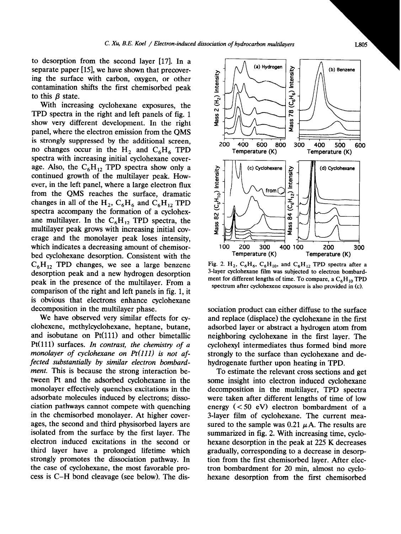to desorption from the second layer [17]. In a separate paper [15], we have shown that precovering the surface with carbon, oxygen, or other contamination shifts the first chemisorbed peak to this  $\beta$  state.

With increasing cyclohexane exposures, the TPD spectra in the right and left panels of fig. 1 show very different development. In the right panel, where the electron emission from the QMS is strongly suppressed by the additional screen, no changes occur in the  $H_2$  and  $C_6H_6$  TPD spectra with increasing initial cyclohexane coverage. Also, the  $C_6H_{12}$  TPD spectra show only a continued growth of the multilayer peak. However, in the left panel, where a large electron flux from the QMS reaches the surface, dramatic changes in all of the  $H_2$ ,  $C_6H_6$  and  $C_6H_{12}$  TPD spectra accompany the formation of a cyclohexane multilayer. In the  $C_6H_{12}$  TPD spectra, the multilayer peak grows with increasing initial coverage and the monolayer peak loses intensity, which indicates a decreasing amount of chemisorbed cyclohexane desorption. Consistent with the  $C_6H_{12}$  TPD changes, we see a large benzene desorption peak and a new hydrogen desorption peak in the presence of the multilayer. From a comparison of the right and left panels in fig. 1, it is obvious that electrons enhance cyclohexane decomposition in the multilayer phase.

We have observed very similar effects for cyclohexene, methylcyclohexane, heptane, butane, and isobutane on Pt(ll1) and other bimetallic Pt(ll1) surfaces. In contrast, *the chemistry of a monolayer of cyclohexane on Pt(ll1) is not affected substantially by similar electron bombardment.* This is because the strong interaction between Pt and the adsorbed cyclohexane in the monolayer effectively quenches excitations in the adsorbate molecules induced by electrons; dissociation pathways cannot compete with quenching in the chemisorbed monolayer. At higher coverages, the second and third physisorbed layers are isolated from the surface by the first layer. The electron induced excitations in the second or third layer have a prolonged lifetime which strongly promotes the dissociation pathway. In the case of cyclohexane, the most favorable process is C-H bond cleavage (see below). The disFig. 2.  $H_2$ ,  $C_6H_6$ ,  $C_6H_{10}$ , and  $C_6H_{12}$  TPD spectra after a 3-layer cyclohexane film was subjected to electron bombardment for different lengths of time. To compare, a  $C_6H_{10}$  TPD spectrum after cyclohexene exposure is also provided in (c).

sociation product can either diffuse to the surface and replace (displace) the cyclohexane in the first adsorbed layer or abstract a hydrogen atom from neighboring cyclohexane in the first layer. The cyclohexyl intermediates thus formed bind more strongly to the surface than cyclohexane and dehydrogenate further upon heating in TPD.

To estimate the relevant cross sections and get some insight into electron induced cyclohexane decomposition in the multilayer, TPD spectra were taken after different lengths of time of low energy  $( $50 \text{ eV}$ ) electron bombardment of a$ 3-layer film of cyclohexane. The current measured to the sample was 0.21  $\mu$  A. The results are summarized in fig. 2. With increasing time, cyclohexane desorption in the peak at 225 K decreases gradually, corresponding to a decrease in desorption from the first chemisorbed layer. After electron bombardment for 20 min, almost no cyclohexane desorption from the first chemisorbed

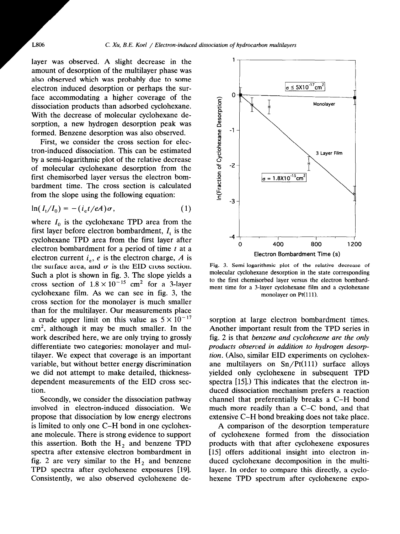layer was observed. A slight decrease in the amount of desorption of the multilayer phase was also observed which was probably due to some electron induced desorption or perhaps the surface accommodating a higher coverage of the dissociation products than adsorbed cyclohexane. With the decrease of molecular cyclohexane desorption, a new hydrogen desorption peak was formed. Benzene desorption was also observed.

First, we consider the cross section for electron-induced dissociation. This can be estimated by a semi-logarithmic plot of the relative decrease of molecular cyclohexane desorption from the first chemisorbed layer versus the electron bombardment time. The cross section is calculated from the slope using the following equation:

$$
\ln(I_t/I_0) = -(i_{\rm e}t/eA)\sigma, \qquad (1)
$$

where  $I_0$  is the cyclohexane TPD area from the first layer before electron bombardment,  $I_t$  is the cyclohexane TPD area from the first layer after electron bombardment for a period of time  $t$  at a electron current  $i_e$ , *e* is the electron charge, *A* is the surface area, and  $\sigma$  is the EID cross section. Such a plot is shown in fig. 3. The slope yields a cross section of  $1.8 \times 10^{-15}$  cm<sup>2</sup> for a 3-layer cyclohexane film. As we can see in fig. 3, the cross section for the monolayer is much smaller than for the multilayer. Our measurements place a crude upper limit on this value as  $5 \times 10^{-17}$  $cm<sup>2</sup>$ , although it may be much smaller. In the work described here, we are only trying to grossly differentiate two categories: monolayer and multilayer. We expect that coverage is an important variable, but without better energy discrimination we did not attempt to make detailed, thicknessdependent measurements of the EID cross section.

Secondly, we consider the dissociation pathway involved in electron-induced dissociation. We propose that dissociation by low energy electrons is limited to only one C-H bond in one cyclohexane molecule. There is strong evidence to support this assertion. Both the  $H<sub>2</sub>$  and benzene TPD spectra after extensive electron bombardment in fig. 2 are very similar to the  $H_2$  and benzene TPD spectra after cyclohexene exposures [19]. Consistently, we also observed cyclohexene de-



Fig. 3. Semi-logarithmic plot of the relative decrease of molecular cyclohexane desorption in the state corresponding to the first chemisorbed layer versus the electron hombardment time for a 3-layer cyclohexane film and a cyclohexane monolayer on  $Pt(111)$ .

sorption at large electron bombardment times. Another important result from the TPD series in fig. 2 is that *benzene and cyclohexene are the only products observed in addition to hydrogen desorption. (Also,* similar EID experiments on cyclohexane multilayers on  $Sn/Pt(111)$  surface alloys yielded only cyclohexene in subsequent TPD spectra  $[15]$ .) This indicates that the electron induced dissociation mechanism prefers a reaction channel that preferentially breaks a C-H bond much more readily than a C-C bond, and that extensive C-H bond breaking does not take place.

A comparison of the desorption temperature of cyclohexene formed from the dissociation products with that after cyclohexene exposures [15] offers additional insight into electron induced cyclohexane decomposition in the multilayer. In order to compare this directly, a cyclohexene TPD spectrum after cyclohexene expo-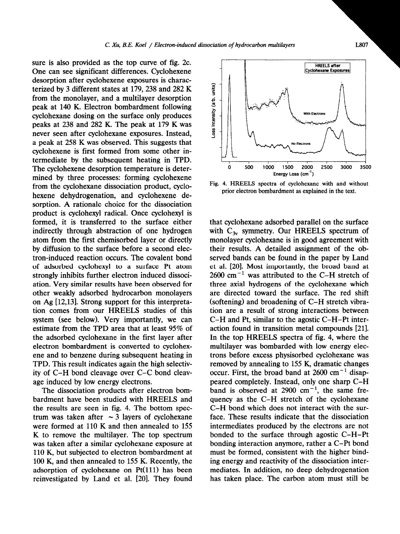sure is also provided as the top curve of fig. 2c. One can see significant differences. Cyclohexene desorption after cyclohexene exposures is characterized by 3 different states at 179,238 and 282 K from the monolayer, and a multilayer desorption peak at 140 K. Electron bombardment following cyclohexane dosing on the surface only produces peaks at 238 and 282 K. The peak at 179 K was never seen after cyclohexane exposures. Instead, a peak at 258 K was observed. This suggests that cyclohexene is first formed from some other intermediate by the subsequent heating in TPD. The cyclohexene desorption temperature is determined by three processes: forming cyclohexene from the cyclohexane dissociation product, cyclohexene dehydrogenation, and cyclohexene desorption. A rationale choice for the dissociation product is cyclohexyl radical. Once cyclohexyl is formed, it is transferred to the surface either indirectly through abstraction of one hydrogen atom from the first chemisorbed layer or directly by diffusion to the surface before a second electron-induced reaction occurs. The covalent bond of adsorbed cyclohexyl to a surface Pt atom strongly inhibits further electron induced dissociation. Very similar results have been observed for other weakly adsorbed hydrocarbon monolayers on Ag [12,13]. Strong support for this interpretation comes from our HREELS studies of this system (see below). Very importantly, we can estimate from the TPD area that at least 95% of the adsorbed cyclohexane in the first layer after electron bombardment is converted to cyclohexene and to benzene during subsequent heating in TPD. This result indicates again the high selectivity of C-H bond cIeavage over C-C bond cleavage induced by low energy electrons.

The dissociation products after electron bombardment have been studied with HREELS and the results are seen in fig. 4. The bottom spectrum was taken after  $\sim$  3 layers of cyclohexane were formed at 110 K and then annealed to 155 K to remove the multilayer. The top spectrum was taken after a similar cyclohexane exposure at 110 K, but subjected to electron bombardment at 100 K, and then annealed to 155 K. Recently, the adsorption of cyclohexane on  $Pt(111)$  has been reinvestigated by Land et al. [20]. They found



Fig. 4. HREELS spectra of cyclohexane with and without prior electron bombardment as explained in the text.

that cyclohexane adsorbed parallel on the surface with  $C_{3v}$  symmetry. Our HREELS spectrum of monolayer cyclohexane is in good agreement with their results. A detailed assignment of the observed bands can be found in the paper by Land et al. [20]. Most importantly, the broad band at  $2600 \text{ cm}^{-1}$  was attributed to the C-H stretch of three axial hydrogens of the cyclohexane which are directed toward the surface. The red shift (softening) and broadening of C-H stretch vibration are a result of strong interactions between C-H and Pt, similar to the agostic C-H-Pt interaction found in transition metal compounds  $[21]$ . In the top HREELS spectra of fig. 4, where the multilayer was bombarded with low energy electrons before excess physisorbed cyclohexane was removed by annealing to 155 K, dramatic changes occur. First, the broad band at  $2600 \text{ cm}^{-1}$  disappeared completely. Instead, only one sharp C-H band is observed at  $2900 \text{ cm}^{-1}$ , the same frequency as the C-H stretch of the cyclohexane C-H bond which does not interact with the surface. These results indicate that the dissociation intermediates produced by the electrons are not bonded to the surface through agostic C-H-Pt bonding interaction anymore, rather a C-Pt bond must be formed, consistent with the higher binding energy and reactivity of the dissociation intermediates. In addition, no deep dehydrogenation has taken place. The carbon atom must still be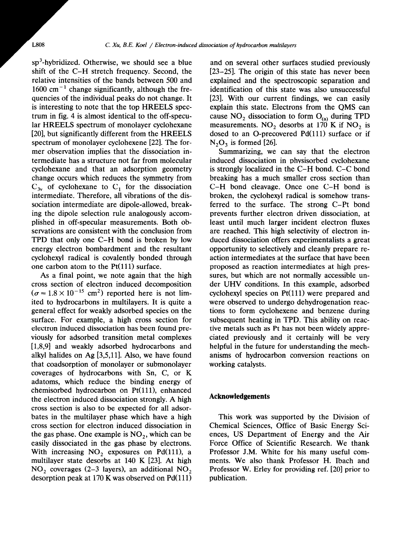sp<sup>3</sup>-hybridized. Otherwise, we should see a blue shift of the C-H stretch frequency. Second, the relative intensities of the bands between 500 and  $1600 \text{ cm}^{-1}$  change significantly, although the frequencies of the individual peaks do not change. It is interesting to note that the top HREELS spectrum in fig. 4 is almost identical to the off-specular HREELS spectrum of monolayer cyclohexane [20], but significantly different from the HREELS spectrum of monolayer cyclohexene [22]. The former observation implies that the dissociation intermediate has a structure not far from molecular cyclohexane and that an adsorption geometry change occurs which reduces the symmetry from  $C_{3v}$  of cyclohexane to  $C_1$  for the dissociation intermediate. Therefore, all vibrations of the dissociation intermediate are dipole-allowed, breaking the dipole selection rule analogously accomplished in off-specular measurements. Both observations are consistent with the conclusion from TPD that only one C-H bond is broken by low energy electron bombardment and the resultant cyclohexyl radical is covalently bonded through one carbon atom to the  $Pt(111)$  surface.

As a final point, we note again that the high cross section of electron induced decomposition  $(\sigma = 1.8 \times 10^{-15} \text{ cm}^2)$  reported here is not limited to hydrocarbons in multilayers. It is quite a general effect for weakly adsorbed species on the surface. For example, a high cross section for electron induced dissociation has been found previously for adsorbed transition metal complexes [1,8,9] and weakly adsorbed hydrocarbons and alkyl halides on Ag [3,5,11]. Also, we have found that coadsorption of monolayer or submonolayer coverages of hydrocarbons with Sn, C, or K adatoms, which reduce the binding energy of chemisorbed hydrocarbon on  $Pt(111)$ , enhanced the electron induced dissociation strongly. A high cross section is also to be expected for all adsorbates in the multilayer phase which have a high cross section for electron induced dissociation in the gas phase. One example is  $NO<sub>2</sub>$ , which can be easily dissociated in the gas phase by electrons. With increasing  $NO<sub>2</sub>$  exposures on Pd(111), a multilayer state desorbs at 140 K [23]. At high NO, coverages (2-3 layers), an additional NO, desorption peak at  $170$  K was observed on Pd $(111)$ 

and on several other surfaces studied previously [23–25]. The origin of this state has never been explained and the spectroscopic separation and identification of this state was also unsuccessful [23]. With our current findings, we can easily explain this state. Electrons from the QMS can cause  $NO_2$  dissociation to form  $O_{(a)}$  during TPD measurements. NO<sub>2</sub> desorbs at 170 K if NO<sub>2</sub> is dosed to an O-precovered Pd(111) surface or if  $N_2O_3$  is formed [26].

Summarizing, we can say that the electron induced dissociation in physisorbed cyclohexane is strongly localized in the C-H bond. C-C bond breaking has a much smaller cross section than C-H bond cleavage. Once one C-H bond is broken, the cyclohexyl radical is somehow transferred to the surface. The strong C-Pt bond prevents further electron driven dissociation, at least until much larger incident electron fluxes are reached. This high selectivity of electron induced dissociation offers experimentalists a great opportunity to selectively and cleanly prepare reaction intermediates at the surface that have been proposed as reaction intermediates at high pressures, but which are not normally accessible under UHV conditions. In this example, adsorbed cyclohexyl species on  $Pt(111)$  were prepared and were observed to undergo dehydrogenation reactions to form cyclohexene and benzene during subsequent heating in TPD. This ability on reactive metals such as Pt has not been widely appreciated previously and it certainly will be very helpful in the future for understanding the mechanisms of hydrocarbon conversion reactions on working catalysts.

### **Acknowledgements**

This work was supported by the Division of Chemical Sciences, Office of Basic Energy Sciences, US Department of Energy and the Air Force Office of Scientific Research. We thank Professor J.M. White for his many useful comments. We also thank Professor H. Ibach and Professor W. Erley for providing ref. [20] prior to publication.